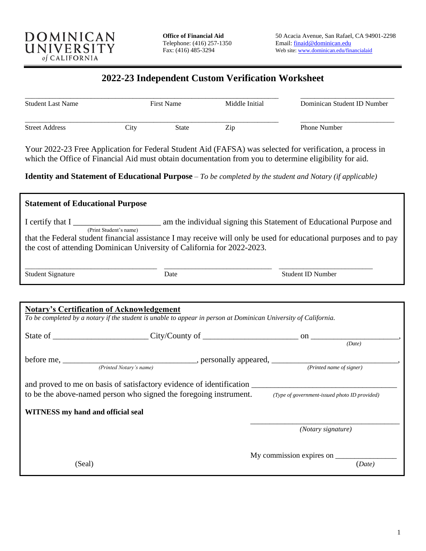

## **2022-23 Independent Custom Verification Worksheet**

| <b>Student Last Name</b><br><b>Street Address</b> | <b>First Name</b> |       | Middle Initial | Dominican Student ID Number |
|---------------------------------------------------|-------------------|-------|----------------|-----------------------------|
|                                                   | 1tv               | State | Zip            | <b>Phone Number</b>         |

Your 2022-23 Free Application for Federal Student Aid (FAFSA) was selected for verification, a process in which the Office of Financial Aid must obtain documentation from you to determine eligibility for aid.

**Identity and Statement of Educational Purpose** – *To be completed by the student and Notary (if applicable)*

| <b>Statement of Educational Purpose</b>                                                                                                                                                      |      |                                                                                   |  |  |  |
|----------------------------------------------------------------------------------------------------------------------------------------------------------------------------------------------|------|-----------------------------------------------------------------------------------|--|--|--|
|                                                                                                                                                                                              |      | I certify that I <u>respect of</u> Educational Purpose and (Print Student's name) |  |  |  |
| that the Federal student financial assistance I may receive will only be used for educational purposes and to pay<br>the cost of attending Dominican University of California for 2022-2023. |      |                                                                                   |  |  |  |
| <b>Student Signature</b>                                                                                                                                                                     | Date | <b>Student ID Number</b>                                                          |  |  |  |
|                                                                                                                                                                                              |      |                                                                                   |  |  |  |
| <b>Notary's Certification of Acknowledgement</b><br>To be completed by a notary if the student is unable to appear in person at Dominican University of California.                          |      |                                                                                   |  |  |  |
|                                                                                                                                                                                              |      |                                                                                   |  |  |  |
|                                                                                                                                                                                              |      | (Date)                                                                            |  |  |  |
| before me, <i>Printed Notary's name</i> ), personally appeared, <i>Printed name of signer</i> ( <i>Printed name of signer</i> ),                                                             |      |                                                                                   |  |  |  |
|                                                                                                                                                                                              |      |                                                                                   |  |  |  |
|                                                                                                                                                                                              |      |                                                                                   |  |  |  |
| to be the above-named person who signed the foregoing instrument. (Type of government-issued photo ID provided)                                                                              |      |                                                                                   |  |  |  |
| WITNESS my hand and official seal                                                                                                                                                            |      |                                                                                   |  |  |  |
|                                                                                                                                                                                              |      | (Notary signature)                                                                |  |  |  |
| (Seal)                                                                                                                                                                                       |      | (Date)                                                                            |  |  |  |